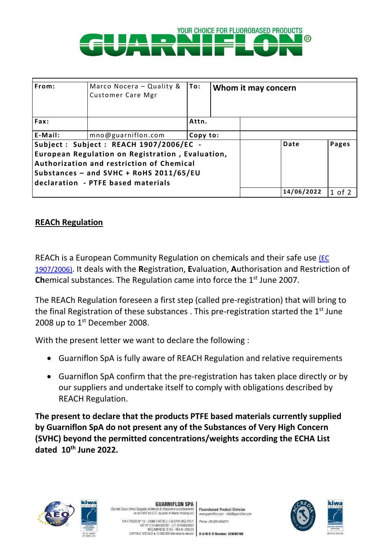

| From:                                                                                                                                                                                                                    | Marco Nocera - Quality &<br>Customer Care Mgr | To:      |  | Whom it may concern |        |
|--------------------------------------------------------------------------------------------------------------------------------------------------------------------------------------------------------------------------|-----------------------------------------------|----------|--|---------------------|--------|
| Fax:                                                                                                                                                                                                                     |                                               | Attn.    |  |                     |        |
| E-Mail:                                                                                                                                                                                                                  | mno@guarniflon.com                            | Copy to: |  |                     |        |
| Subject: Subject: REACH 1907/2006/EC -<br>European Regulation on Registration, Evaluation,<br>Authorization and restriction of Chemical<br>Substances - and SVHC + RoHS 2011/65/EU<br>declaration - PTFE based materials |                                               |          |  | Date                | Pages  |
|                                                                                                                                                                                                                          |                                               |          |  | 14/06/2022          | 1 of 2 |

## **REACh Regulation**

REACh is a European Community Regulation on chemicals and their safe use [\(EC](http://eur-lex.europa.eu/LexUriServ/LexUriServ.do?uri=CELEX:32006R1907:EN:NOT)  [1907/2006\)](http://eur-lex.europa.eu/LexUriServ/LexUriServ.do?uri=CELEX:32006R1907:EN:NOT). It deals with the **R**egistration, **E**valuation, **A**uthorisation and Restriction of **Chemical substances. The Regulation came into force the 1<sup>st</sup> June 2007.** 

The REACh Regulation foreseen a first step (called pre-registration) that will bring to the final Registration of these substances . This pre-registration started the  $1<sup>st</sup>$  June 2008 up to 1<sup>st</sup> December 2008.

With the present letter we want to declare the following :

- Guarniflon SpA is fully aware of REACH Regulation and relative requirements
- Guarniflon SpA confirm that the pre-registration has taken place directly or by our suppliers and undertake itself to comply with obligations described by REACH Regulation.

**The present to declare that the products PTFE based materials currently supplied by Guarniflon SpA do not present any of the Substances of Very High Concern (SVHC) beyond the permitted concentrations/weights according the ECHA List dated 10 th June 2022.**



**GUARNIFLON SPA** (Società Socio Unico Soggetta all'attività di direzione e coordinami

**Fluorobased Product Division** ex art.2497 bis C.C. da parte di Mazza Holding srl)

www.guarniflon.com - info@guarniflon.cor VIA T.TASSO N° 12 - 24060 CASTELLI CALEPIO (BG) ITALY MORE +39.035.4494311<br>VAT N° IT 01406020162 - C.F. 01406020162<br>CAPITALE SOCIALE < 10.000.000 interamente versato **D-U-N-S ® Number: 429385180**